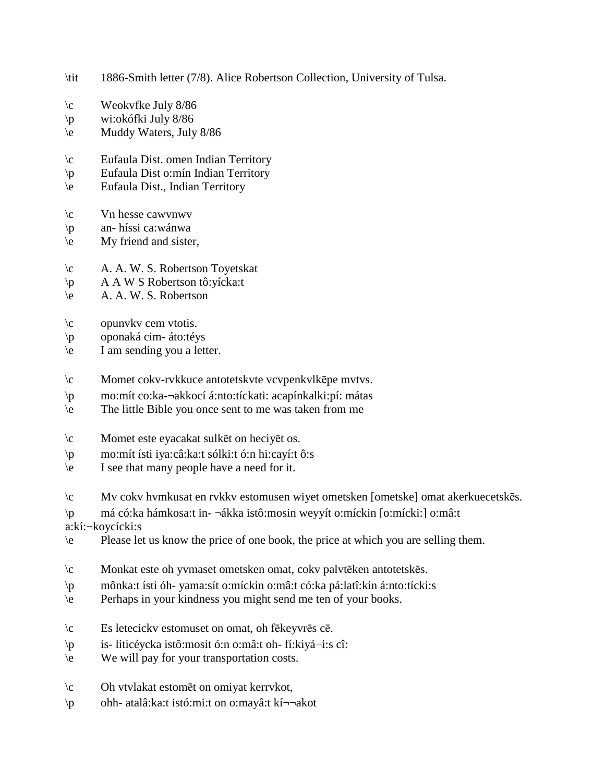- \tit 1886-Smith letter (7/8). Alice Robertson Collection, University of Tulsa.
- \c Weokvfke July 8/86
- \p wi:okófki July 8/86
- \e Muddy Waters, July 8/86
- \c Eufaula Dist. omen Indian Territory
- \p Eufaula Dist o:mín Indian Territory
- \e Eufaula Dist., Indian Territory
- \c Vn hesse cawvnwv
- \p an- híssi ca:wánwa
- \e My friend and sister,
- \c A. A. W. S. Robertson Toyetskat
- \p A A W S Robertson tô:yícka:t
- \e A. A. W. S. Robertson
- $\c$  opunvkv cem vtotis.
- \p oponaká cim- áto:téys
- \e I am sending you a letter.
- \c Momet cokv-rvkkuce antotetskvte vcvpenkvlkēpe mvtvs.
- \p mo:mít co:ka-¬akkocí á:nto:tíckati: acapínkalki:pí: mátas
- \e The little Bible you once sent to me was taken from me
- \c Momet este eyacakat sulkēt on heciyēt os.
- \p mo:mít ísti iya:câ:ka:t sólki:t ó:n hi:cayí:t ô:s
- \e I see that many people have a need for it.
- \c Mv cokv hvmkusat en rvkkv estomusen wiyet ometsken [ometske] omat akerkuecetskēs.
- \p má có:ka hámkosa:t in- ¬ákka istô:mosin weyyít o:míckin [o:mícki:] o:mâ:t

a:kí:¬koycícki:s

- \e Please let us know the price of one book, the price at which you are selling them.
- \c Monkat este oh yvmaset ometsken omat, cokv palvtēken antotetskēs.
- \p mônka:t ísti óh- yama:sít o:míckin o:mâ:t có:ka pá:latî:kin á:nto:tícki:s
- \e Perhaps in your kindness you might send me ten of your books.
- \c Es letecickv estomuset on omat, oh fēkeyvrēs cē.
- \p is- liticéycka istô:mosit ó:n o:mâ:t oh- fí:kiyá¬i:s cî:
- \e We will pay for your transportation costs.
- \c Oh vtvlakat estomēt on omiyat kerrvkot,
- \p ohh- atalâ:ka:t istó:mi:t on o:mayâ:t kí¬¬akot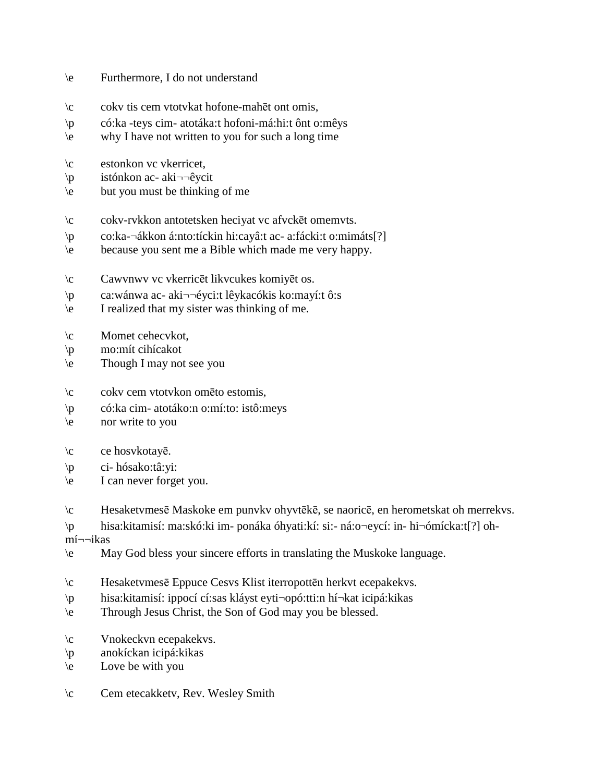## \e Furthermore, I do not understand

- \c cokv tis cem vtotvkat hofone-mahēt ont omis,
- \p có:ka -teys cim- atotáka:t hofoni-má:hi:t ônt o:mêys
- \e why I have not written to you for such a long time
- \c estonkon vc vkerricet,
- \p istónkon ac- aki¬¬êycit
- \e but you must be thinking of me
- \c cokv-rvkkon antotetsken heciyat vc afvckēt omemvts.
- \p co:ka-¬ákkon á:nto:tíckin hi:cayâ:t ac- a:fácki:t o:mimáts[?]
- \e because you sent me a Bible which made me very happy.
- \c Cawvnwv vc vkerricēt likvcukes komiyēt os.
- \p ca:wánwa ac- aki¬¬éyci:t lêykacókis ko:mayí:t ô:s
- \e I realized that my sister was thinking of me.
- \c Momet cehecvkot,
- \p mo:mít cihícakot
- \e Though I may not see you
- \c cokv cem vtotvkon omēto estomis,
- \p có:ka cim- atotáko:n o:mí:to: istô:meys
- \e nor write to you
- \c ce hosvkotayē.
- \p ci- hósako:tâ:yi:
- \e I can never forget you.
- \c Hesaketvmesē Maskoke em punvkv ohyvtēkē, se naoricē, en herometskat oh merrekvs.
- \p hisa:kitamisí: ma:skó:ki im- ponáka óhyati:kí: si:- ná:o¬eycí: in- hi¬ómícka:t[?] oh-

mí¬¬ikas

- \e May God bless your sincere efforts in translating the Muskoke language.
- \c Hesaketvmesē Eppuce Cesvs Klist iterropottēn herkvt ecepakekvs.
- \p hisa:kitamisí: ippocí cí:sas kláyst eyti¬opó:tti:n hí¬kat icipá:kikas
- \e Through Jesus Christ, the Son of God may you be blessed.
- \c Vnokeckvn ecepakekvs.
- \p anokíckan icipá:kikas
- \e Love be with you
- \c Cem etecakketv, Rev. Wesley Smith